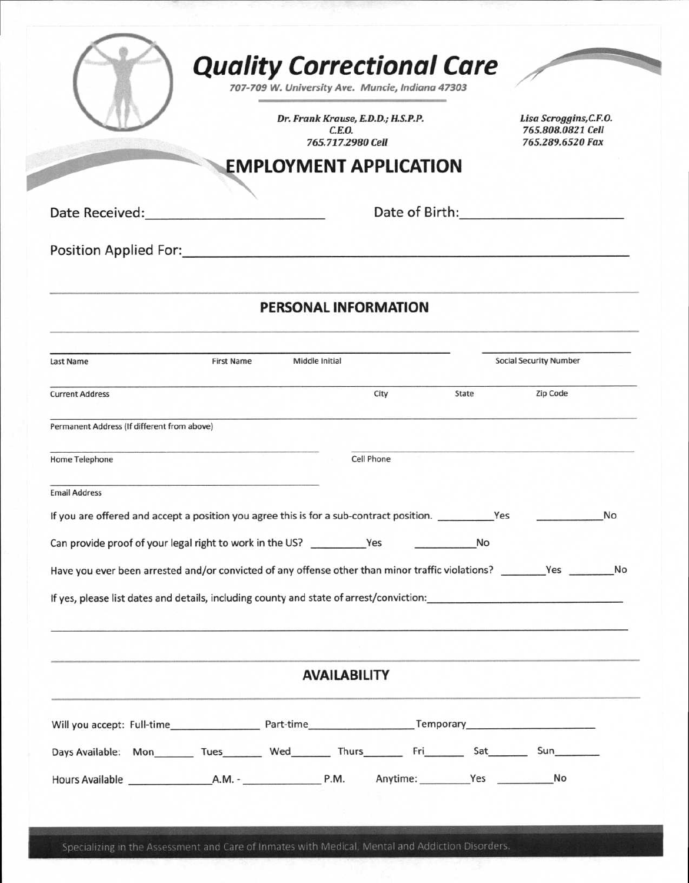|                                                                                                                                                                                                                                |                   | Dr. Frank Krause, E.D.D.; H.S.P.P.<br>C.E.O.<br>765.717.2980 Cell |                               | Lisa Scroggins, C.F.O.<br>765.808.0821 Cell<br>765.289.6520 Fax                           |    |
|--------------------------------------------------------------------------------------------------------------------------------------------------------------------------------------------------------------------------------|-------------------|-------------------------------------------------------------------|-------------------------------|-------------------------------------------------------------------------------------------|----|
|                                                                                                                                                                                                                                |                   | <b>EMPLOYMENT APPLICATION</b>                                     |                               |                                                                                           |    |
| Date Received: National Property of the Contract of the Contract of the Contract of the Contract of the Contract of the Contract of the Contract of the Contract of the Contract of the Contract of the Contract of the Contra |                   |                                                                   |                               | Date of Birth: National Property of Birth:                                                |    |
|                                                                                                                                                                                                                                |                   |                                                                   |                               |                                                                                           |    |
|                                                                                                                                                                                                                                |                   |                                                                   |                               |                                                                                           |    |
|                                                                                                                                                                                                                                |                   | <b>PERSONAL INFORMATION</b>                                       |                               |                                                                                           |    |
| Last Name                                                                                                                                                                                                                      | <b>First Name</b> | Middle Initial                                                    | <b>Social Security Number</b> |                                                                                           |    |
| <b>Current Address</b>                                                                                                                                                                                                         |                   | City                                                              | State                         | Zip Code                                                                                  |    |
| Permanent Address (If different from above)                                                                                                                                                                                    |                   |                                                                   |                               |                                                                                           |    |
| Home Telephone                                                                                                                                                                                                                 |                   | Cell Phone                                                        |                               |                                                                                           |    |
| <b>Email Address</b>                                                                                                                                                                                                           |                   |                                                                   |                               |                                                                                           |    |
| If you are offered and accept a position you agree this is for a sub-contract position. ___________ Yes                                                                                                                        |                   |                                                                   |                               |                                                                                           | No |
|                                                                                                                                                                                                                                |                   |                                                                   | No                            |                                                                                           |    |
| Have you ever been arrested and/or convicted of any offense other than minor traffic violations? _________Yes _________No                                                                                                      |                   |                                                                   |                               |                                                                                           |    |
| If yes, please list dates and details, including county and state of arrest/conviction:                                                                                                                                        |                   |                                                                   |                               |                                                                                           |    |
|                                                                                                                                                                                                                                |                   |                                                                   |                               |                                                                                           |    |
|                                                                                                                                                                                                                                |                   | <b>AVAILABILITY</b>                                               |                               | All products and the track of a state of the control of the control of the control of the |    |
|                                                                                                                                                                                                                                |                   |                                                                   |                               |                                                                                           |    |
| Days Available: Mon________ Tues_________ Wed_________ Thurs__________ Fri________ Sat________ Sun___________                                                                                                                  |                   |                                                                   |                               |                                                                                           |    |
|                                                                                                                                                                                                                                |                   |                                                                   |                               |                                                                                           |    |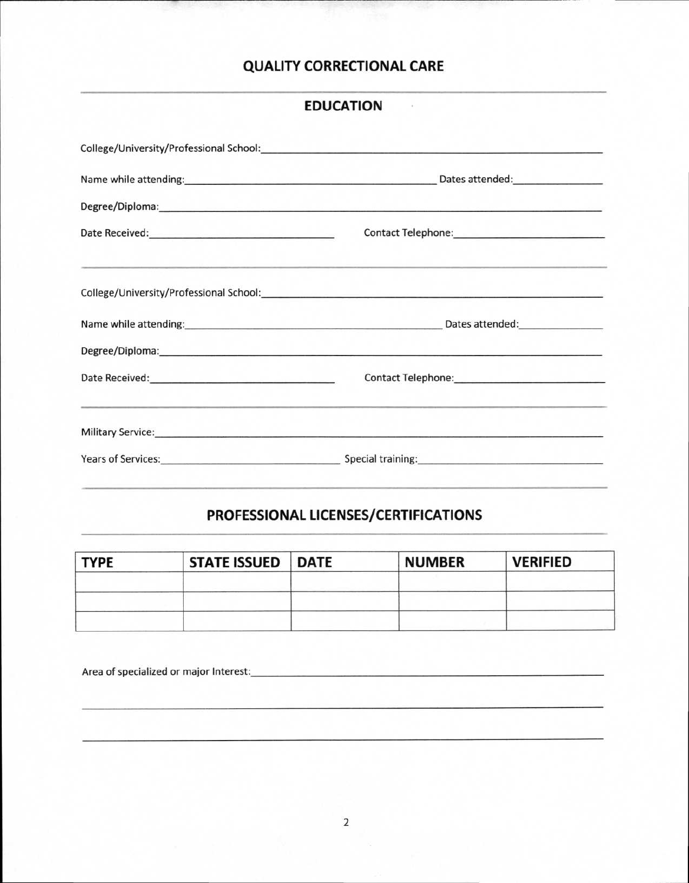## **QUALITY CORRECTIONAL CARE**

| <b>EDUCATION</b> |  |
|------------------|--|
|------------------|--|

| 정보는 그는 그 사람들이 그 사람들을 만들었다. 그 사람들은 그 사람들은 그 사람들은 그 사람들을 만들었다. 그 사람들은 그 사람들은 그 사람들을 지키는 것 같다.                                                                                                                                                                                                                                                                                                                                                                      |  |
|------------------------------------------------------------------------------------------------------------------------------------------------------------------------------------------------------------------------------------------------------------------------------------------------------------------------------------------------------------------------------------------------------------------------------------------------------------------|--|
|                                                                                                                                                                                                                                                                                                                                                                                                                                                                  |  |
|                                                                                                                                                                                                                                                                                                                                                                                                                                                                  |  |
| Contact Telephone: Management Contact Telephone:                                                                                                                                                                                                                                                                                                                                                                                                                 |  |
| and the contribution of the contribution of the contribution of the contribution of the contribution of the contribution of the contribution of the contribution of the contribution of the contribution of the contribution o<br>Military Service: Nicolas Communication of the Communication of the Communication of the Communication of the Communication of the Communication of the Communication of the Communication of the Communication of the Communi |  |
| Years of Services: Special training: Special training: Special training:                                                                                                                                                                                                                                                                                                                                                                                         |  |

# **PROFESSIONAL LICENSES/CERTIFICATIONS**

| <b>TYPE</b> | STATE ISSUED   DATE | <b>NUMBER</b> | <b>VERIFIED</b> |
|-------------|---------------------|---------------|-----------------|
|             |                     |               |                 |
|             |                     |               |                 |
|             |                     |               |                 |

Area of specialized or major Interest: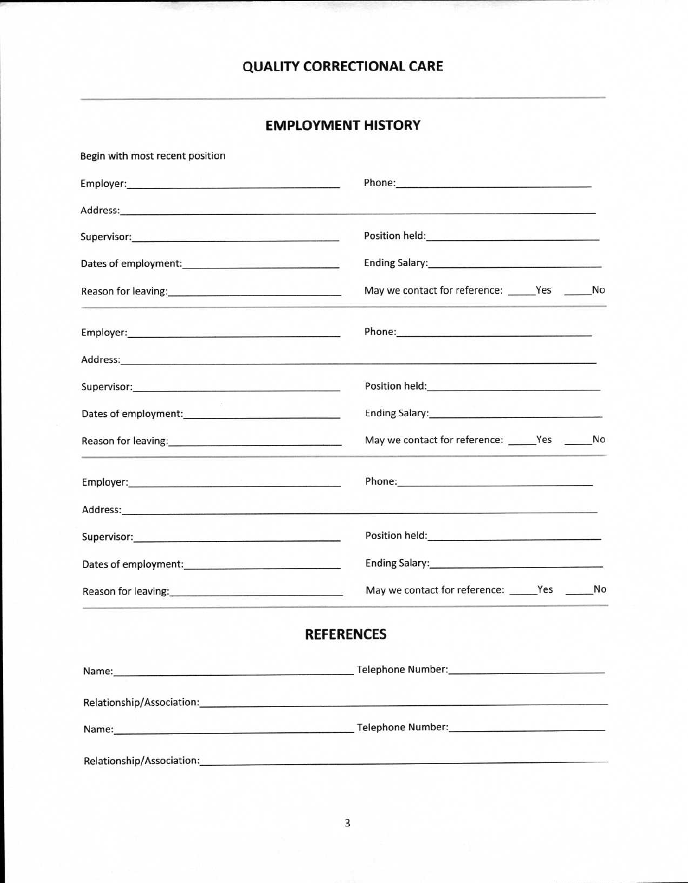### **QUALITY CORRECTIONAL CARE**

## **EMPLOYMENT HISTORY**

| Begin with most recent position                                                                               |                                                                                                                                                                                                                                      |  |
|---------------------------------------------------------------------------------------------------------------|--------------------------------------------------------------------------------------------------------------------------------------------------------------------------------------------------------------------------------------|--|
|                                                                                                               | Phone: All and the contract of the contract of the contract of the contract of the contract of the contract of the contract of the contract of the contract of the contract of the contract of the contract of the contract of       |  |
|                                                                                                               |                                                                                                                                                                                                                                      |  |
| Supervisor: <u>www.community.com and a supervisor</u>                                                         | Position held: <u>Alexander School and Theory and Theory and Theory and Theory and Theory and Theory and Theory and Theory and Theory and Theory and Theory and Theory and Theory and Theory and Theory and Theory and Theory an</u> |  |
|                                                                                                               | Ending Salary: No. 2014 19:30 and 2014 19:30 and 2014 19:30 and 2014 19:30 and 2014 19:30 and 2014 19:30 and 20                                                                                                                      |  |
| Reason for leaving: 1999 and 1999 and 1999 and 1999 and 1999 and 1999 and 1999 and 1999 and 1999 and 1999 and |                                                                                                                                                                                                                                      |  |
|                                                                                                               |                                                                                                                                                                                                                                      |  |
|                                                                                                               |                                                                                                                                                                                                                                      |  |
|                                                                                                               |                                                                                                                                                                                                                                      |  |
|                                                                                                               | Ending Salary: Management of the Salary:                                                                                                                                                                                             |  |
| Reason for leaving: 1999 and 1999 and 1999 and 1999 and 1999 and 1999 and 1999 and 1999 and 1999 and 1999 and | May we contact for reference: _______Yes ________No                                                                                                                                                                                  |  |
|                                                                                                               | Phone: Phone Phone Phone Phone Phone Phone Phone Phone Phone Phone Phone Phone Phone Phone Phone Phone Phone Phone Phone Phone Phone Phone Phone Phone Phone Phone Phone Phone Phone Phone Phone Phone Phone Phone Phone Phone       |  |
|                                                                                                               |                                                                                                                                                                                                                                      |  |
| Supervisor: Supervisor:                                                                                       | Position held: <u>www.common.com/commons/commons/commons/commons/commons/commons/commons/commons/commons/commons/commons/commons/commons/commons/commons/commons/commons/commons/commons/commons/commons/commons/commons/commons</u> |  |
|                                                                                                               | Ending Salary: Management of the Salary:                                                                                                                                                                                             |  |
| Reason for leaving: New York Changes and The Reason for leaving:                                              | May we contact for reference: _______Yes ________No                                                                                                                                                                                  |  |
|                                                                                                               | <b>REFERENCES</b>                                                                                                                                                                                                                    |  |
|                                                                                                               |                                                                                                                                                                                                                                      |  |
|                                                                                                               | Relationship/Association: example and a series of the series of the series of the series of the series of the series of the series of the series of the series of the series of the series of the series of the series of the        |  |
|                                                                                                               | Name: Telephone Number: Telephone Number:                                                                                                                                                                                            |  |
|                                                                                                               | Relationship/Association: example and a series of the series of the series of the series of the series of the                                                                                                                        |  |